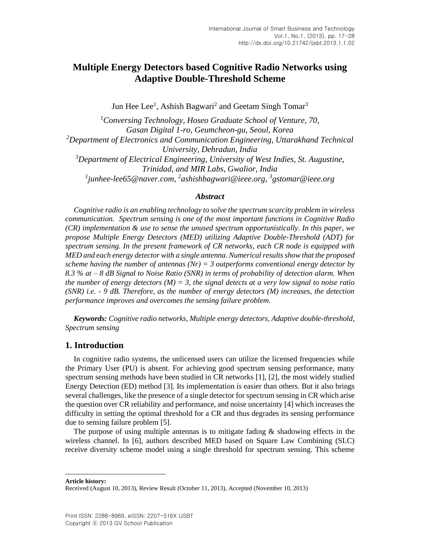# **Multiple Energy Detectors based Cognitive Radio Networks using Adaptive Double-Threshold Scheme**

Jun Hee Lee<sup>1</sup>, Ashish Bagwari<sup>2</sup> and Geetam Singh Tomar<sup>3</sup>

*<sup>1</sup>Conversing Technology, Hoseo Graduate School of Venture, 70, Gasan Digital 1-ro, Geumcheon-gu, Seoul, Korea <sup>2</sup>Department of Electronics and Communication Engineering, Uttarakhand Technical University, Dehradun, India <sup>3</sup>Department of Electrical Engineering, University of West Indies, St. Augustine, Trinidad, and MIR Labs, Gwalior, India 1 junhee-lee65@naver.com, 2 ashishbagwari@ieee.org, <sup>3</sup> gstomar@ieee.org*

### *Abstract*

*Cognitive radio is an enabling technology to solve the spectrum scarcity problem in wireless communication. Spectrum sensing is one of the most important functions in Cognitive Radio (CR) implementation & use to sense the unused spectrum opportunistically. In this paper, we propose Multiple Energy Detectors (MED) utilizing Adaptive Double-Threshold (ADT) for spectrum sensing. In the present framework of CR networks, each CR node is equipped with MED and each energy detector with a single antenna. Numerical results show that the proposed scheme having the number of antennas (Nr) = 3 outperforms conventional energy detector by 8.3 % at – 8 dB Signal to Noise Ratio (SNR) in terms of probability of detection alarm. When the number of energy detectors (M) = 3, the signal detects at a very low signal to noise ratio (SNR) i.e. - 9 dB. Therefore, as the number of energy detectors (M) increases, the detection performance improves and overcomes the sensing failure problem.*

*Keywords: Cognitive radio networks, Multiple energy detectors, Adaptive double-threshold, Spectrum sensing*

# **1. Introduction**

In cognitive radio systems, the unlicensed users can utilize the licensed frequencies while the Primary User (PU) is absent. For achieving good spectrum sensing performance, many spectrum sensing methods have been studied in CR networks [\[1\],](#page-10-0) [\[2\],](#page-10-1) the most widely studied Energy Detection (ED) method [\[3\].](#page-10-2) Its implementation is easier than others. But it also brings several challenges, like the presence of a single detector for spectrum sensing in CR which arise the question over CR reliability and performance, and noise uncertainty [\[4\]](#page-10-3) which increases the difficulty in setting the optimal threshold for a CR and thus degrades its sensing performance due to sensing failure problem [\[5\].](#page-10-4)

The purpose of using multiple antennas is to mitigate fading  $\&$  shadowing effects in the wireless channel. In [\[6\],](#page-10-5) authors described MED based on Square Law Combining (SLC) receive diversity scheme model using a single threshold for spectrum sensing. This scheme

**Article history:**

Received (August 10, 2013), Review Result (October 11, 2013), Accepted (November 10, 2013)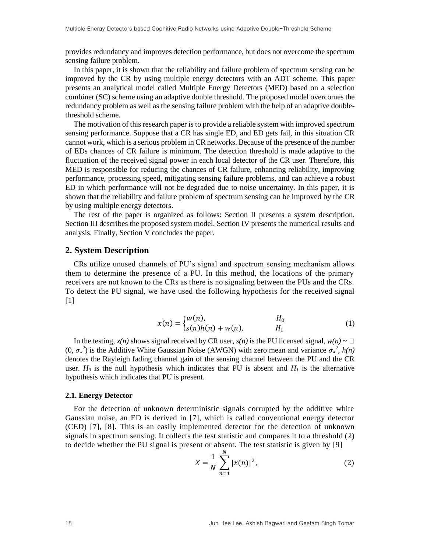provides redundancy and improves detection performance, but does not overcome the spectrum sensing failure problem.

In this paper, it is shown that the reliability and failure problem of spectrum sensing can be improved by the CR by using multiple energy detectors with an ADT scheme. This paper presents an analytical model called Multiple Energy Detectors (MED) based on a selection combiner (SC) scheme using an adaptive double threshold. The proposed model overcomes the redundancy problem as well as the sensing failure problem with the help of an adaptive doublethreshold scheme.

The motivation of this research paper is to provide a reliable system with improved spectrum sensing performance. Suppose that a CR has single ED, and ED gets fail, in this situation CR cannot work, which is a serious problem in CR networks. Because of the presence of the number of EDs chances of CR failure is minimum. The detection threshold is made adaptive to the fluctuation of the received signal power in each local detector of the CR user. Therefore, this MED is responsible for reducing the chances of CR failure, enhancing reliability, improving performance, processing speed, mitigating sensing failure problems, and can achieve a robust ED in which performance will not be degraded due to noise uncertainty. In this paper, it is shown that the reliability and failure problem of spectrum sensing can be improved by the CR by using multiple energy detectors.

The rest of the paper is organized as follows: Section II presents a system description. Section III describes the proposed system model. Section IV presents the numerical results and analysis. Finally, Section V concludes the paper.

### **2. System Description**

CRs utilize unused channels of PU's signal and spectrum sensing mechanism allows them to determine the presence of a PU. In this method, the locations of the primary receivers are not known to the CRs as there is no signaling between the PUs and the CRs. To detect the PU signal, we have used the following hypothesis for the received signal [\[1\]](#page-10-0)

$$
x(n) = \begin{cases} w(n), & H_0 \\ s(n)h(n) + w(n), & H_1 \end{cases}
$$
 (1)

In the testing,  $x(n)$  shows signal received by CR user,  $s(n)$  is the PU licensed signal,  $w(n) \sim \Box$  $(0, \sigma_w^2)$  is the Additive White Gaussian Noise (AWGN) with zero mean and variance  $\sigma_w^2$ ,  $h(n)$ denotes the Rayleigh fading channel gain of the sensing channel between the PU and the CR user.  $H_0$  is the null hypothesis which indicates that PU is absent and  $H_1$  is the alternative hypothesis which indicates that PU is present.

#### **2.1. Energy Detector**

For the detection of unknown deterministic signals corrupted by the additive white Gaussian noise, an ED is derived in [\[7\],](#page-10-6) which is called conventional energy detector (CED) [\[7\],](#page-10-6) [\[8\].](#page-10-7) This is an easily implemented detector for the detection of unknown signals in spectrum sensing. It collects the test statistic and compares it to a threshold  $(\lambda)$ to decide whether the PU signal is present or absent. The test statistic is given by [\[9\]](#page-10-8)

$$
X = \frac{1}{N} \sum_{n=1}^{N} |x(n)|^2,
$$
 (2)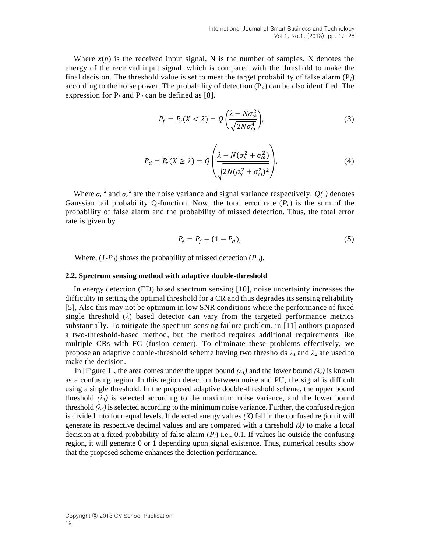Where  $x(n)$  is the received input signal, N is the number of samples, X denotes the energy of the received input signal, which is compared with the threshold to make the final decision. The threshold value is set to meet the target probability of false alarm  $(P_f)$ according to the noise power. The probability of detection  $(P_d)$  can be also identified. The expression for  $P_f$  and  $P_d$  can be defined as [\[8\].](#page-10-7)

$$
P_f = P_r(X < \lambda) = Q\left(\frac{\lambda - N\sigma_\omega^2}{\sqrt{2N\sigma_\omega^4}}\right),\tag{3}
$$

$$
P_d = P_r(X \ge \lambda) = Q \left( \frac{\lambda - N(\sigma_S^2 + \sigma_\omega^2)}{\sqrt{2N(\sigma_S^2 + \sigma_\omega^2)^2}} \right),\tag{4}
$$

Where  $\sigma_{\omega}^2$  and  $\sigma_{\rm S}^2$  are the noise variance and signal variance respectively.  $Q(\cdot)$  denotes Gaussian tail probability Q-function. Now, the total error rate  $(P_e)$  is the sum of the probability of false alarm and the probability of missed detection. Thus, the total error rate is given by

$$
P_e = P_f + (1 - P_d),
$$
\n(5)

Where,  $(I-P_d)$  shows the probability of missed detection  $(P_m)$ .

#### **2.2. Spectrum sensing method with adaptive double-threshold**

In energy detection (ED) based spectrum sensing [\[10\],](#page-10-9) noise uncertainty increases the difficulty in setting the optimal threshold for a CR and thus degrades its sensing reliability [\[5\],](#page-10-4) Also this may not be optimum in low SNR conditions where the performance of fixed single threshold  $(\lambda)$  based detector can vary from the targeted performance metrics substantially. To mitigate the spectrum sensing failure problem, in [\[11\]](#page-10-10) authors proposed a two-threshold-based method, but the method requires additional requirements like multiple CRs with FC (fusion center). To eliminate these problems effectively, we propose an adaptive double-threshold scheme having two thresholds  $\lambda_1$  and  $\lambda_2$  are used to make the decision.

In [Figure 1], the area comes under the upper bound  $(\lambda_1)$  and the lower bound  $(\lambda_2)$  is known as a confusing region. In this region detection between noise and PU, the signal is difficult using a single threshold. In the proposed adaptive double-threshold scheme, the upper bound threshold  $(\lambda_1)$  is selected according to the maximum noise variance, and the lower bound threshold  $(\lambda_2)$  is selected according to the minimum noise variance. Further, the confused region is divided into four equal levels. If detected energy values *(X)* fall in the confused region it will generate its respective decimal values and are compared with a threshold *(λ)* to make a local decision at a fixed probability of false alarm (*Pf*) i.e., 0.1. If values lie outside the confusing region, it will generate 0 or 1 depending upon signal existence. Thus, numerical results show that the proposed scheme enhances the detection performance.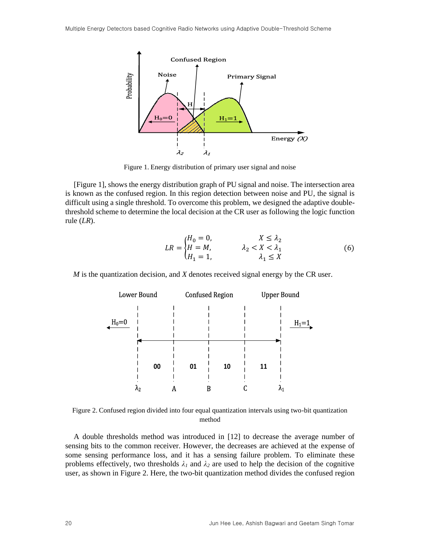

Figure 1. Energy distribution of primary user signal and noise

[Figure 1], shows the energy distribution graph of PU signal and noise. The intersection area is known as the confused region. In this region detection between noise and PU, the signal is difficult using a single threshold. To overcome this problem, we designed the adaptive doublethreshold scheme to determine the local decision at the CR user as following the logic function rule (*LR*).

$$
LR = \begin{cases} H_0 = 0, & X \le \lambda_2 \\ H = M, & \lambda_2 < X < \lambda_1 \\ H_1 = 1, & \lambda_1 \le X \end{cases} \tag{6}
$$

*M* is the quantization decision, and *X* denotes received signal energy by the CR user.



Figure 2. Confused region divided into four equal quantization intervals using two-bit quantization method

A double thresholds method was introduced in [\[12\]](#page-11-0) to decrease the average number of sensing bits to the common receiver. However, the decreases are achieved at the expense of some sensing performance loss, and it has a sensing failure problem. To eliminate these problems effectively, two thresholds  $\lambda_1$  and  $\lambda_2$  are used to help the decision of the cognitive user, as shown in Figure 2. Here, the two-bit quantization method divides the confused region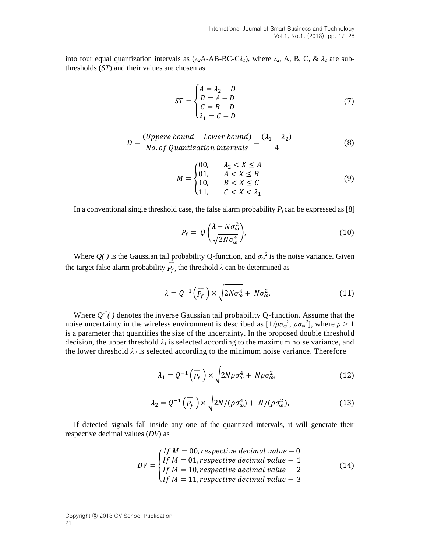into four equal quantization intervals as (*λ2*A-AB-BC-C*λ1*), where *λ2*, A, B, C, & *λ<sup>1</sup>* are subthresholds (*ST*) and their values are chosen as

$$
ST = \begin{cases} A = \lambda_2 + D \\ B = A + D \\ C = B + D \\ \lambda_1 = C + D \end{cases} \tag{7}
$$

$$
D = \frac{(Upper \, bound - Lower \, bound)}{No \, of \, Quantization \, intervals} = \frac{(\lambda_1 - \lambda_2)}{4}
$$
 (8)

$$
M = \begin{cases} 00, & \lambda_2 < X \le A \\ 01, & A < X \le B \\ 10, & B < X \le C \\ 11, & C < X < \lambda_1 \end{cases} \tag{9}
$$

In a conventional single threshold case, the false alarm probability  $P_f$  can be expressed a[s \[8\]](#page-10-7)

$$
P_f = Q\left(\frac{\lambda - N\sigma_{\omega}^2}{\sqrt{2N\sigma_{\omega}^4}}\right),\tag{10}
$$

Where  $Q(\cdot)$  is the Gaussian tail probability Q-function, and  $\sigma_{\omega}^2$  is the noise variance. Given the target false alarm probability  $P_f$ , the threshold  $\lambda$  can be determined as

$$
\lambda = Q^{-1}\left(\overline{P_f}\right) \times \sqrt{2N\sigma_{\omega}^4 + N\sigma_{\omega}^2},\tag{11}
$$

Where  $Q^{-1}$ () denotes the inverse Gaussian tail probability Q-function. Assume that the noise uncertainty in the wireless environment is described as  $[1/\rho \sigma_{\omega}^2, \rho \sigma_{\omega}^2]$ , where  $\rho > 1$ is a parameter that quantifies the size of the uncertainty. In the proposed double threshold decision, the upper threshold  $\lambda_l$  is selected according to the maximum noise variance, and the lower threshold  $\lambda_2$  is selected according to the minimum noise variance. Therefore

$$
\lambda_1 = Q^{-1}\left(\overline{P_f}\right) \times \sqrt{2N\rho \sigma_\omega^4 + N\rho \sigma_\omega^2},\tag{12}
$$

$$
\lambda_2 = Q^{-1}\left(\overline{P_f}\right) \times \sqrt{2N/(\rho \sigma_\omega^4)} + N/(\rho \sigma_\omega^2),\tag{13}
$$

If detected signals fall inside any one of the quantized intervals, it will generate their respective decimal values (*DV*) as

$$
DV = \begin{cases} If M = 00, respective decimal value - 0 \\ If M = 01, respective decimal value - 1 \\ If M = 10, respective decimal value - 2 \\ If M = 11, respective decimal value - 3 \end{cases}
$$
(14)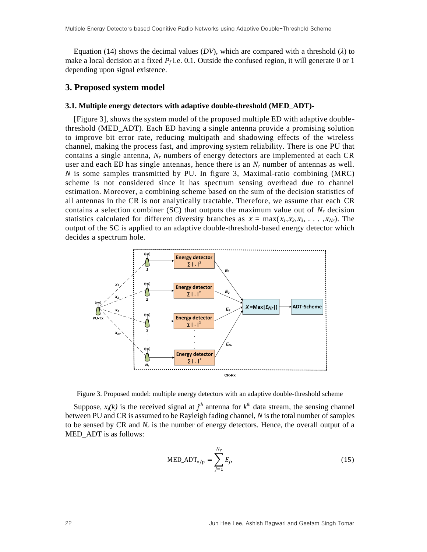Equation (14) shows the decimal values (*DV*), which are compared with a threshold ( $\lambda$ ) to make a local decision at a fixed  $P_f$  i.e. 0.1. Outside the confused region, it will generate 0 or 1 depending upon signal existence.

### **3. Proposed system model**

#### **3.1. Multiple energy detectors with adaptive double-threshold (MED\_ADT)-**

[Figure 3], shows the system model of the proposed multiple ED with adaptive double threshold (MED\_ADT). Each ED having a single antenna provide a promising solution to improve bit error rate, reducing multipath and shadowing effects of the wireless channel, making the process fast, and improving system reliability. There is one PU that contains a single antenna, *N<sup>r</sup>* numbers of energy detectors are implemented at each CR user and each ED has single antennas, hence there is an *N<sup>r</sup>* number of antennas as well. *N* is some samples transmitted by PU. In figure 3, Maximal-ratio combining (MRC) scheme is not considered since it has spectrum sensing overhead due to channel estimation. Moreover, a combining scheme based on the sum of the decision statistics of all antennas in the CR is not analytically tractable. Therefore, we assume that each CR contains a selection combiner (SC) that outputs the maximum value out of *N<sup>r</sup>* decision statistics calculated for different diversity branches as  $x = max(x_1, x_2, x_3, \ldots, x_{Nr})$ . The output of the SC is applied to an adaptive double-threshold-based energy detector which decides a spectrum hole.



Figure 3. Proposed model: multiple energy detectors with an adaptive double-threshold scheme

Suppose,  $x_j(k)$  is the received signal at  $j<sup>th</sup>$  antenna for  $k<sup>th</sup>$  data stream, the sensing channel between PU and CR is assumed to be Rayleigh fading channel, *N* is the total number of samples to be sensed by CR and  $N_r$  is the number of energy detectors. Hence, the overall output of a MED ADT is as follows:

$$
MED\_ADT_{o/p} = \sum_{j=1}^{N_r} E_j,
$$
\n(15)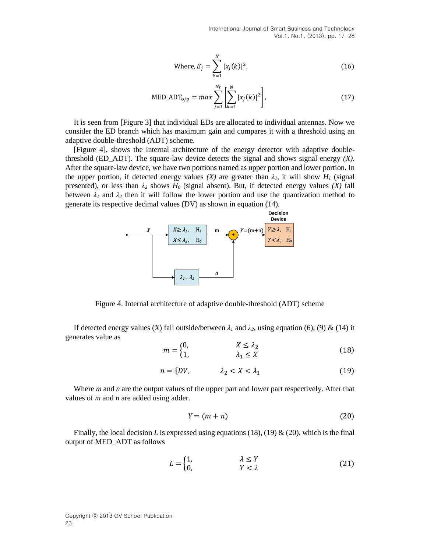International Journal of Smart Business and Technology Vol.1, No.1, (2013), pp. 17-28

Where, 
$$
E_j = \sum_{k=1}^{N} |x_j(k)|^2
$$
, (16)

MED\_ADT<sub>o/p</sub> = max 
$$
\sum_{j=1}^{N_r} \left[ \sum_{k=1}^{N} |x_j(k)|^2 \right]
$$
, (17)

It is seen from [Figure 3] that individual EDs are allocated to individual antennas. Now we consider the ED branch which has maximum gain and compares it with a threshold using an adaptive double-threshold (ADT) scheme.

[Figure 4], shows the internal architecture of the energy detector with adaptive doublethreshold (ED\_ADT). The square-law device detects the signal and shows signal energy *(X).* After the square-law device, we have two portions named as upper portion and lower portion. In the upper portion, if detected energy values  $(X)$  are greater than  $\lambda_I$ , it will show  $H_I$  (signal presented), or less than *λ<sup>2</sup>* shows *H<sup>0</sup>* (signal absent). But, if detected energy values *(X)* fall between  $\lambda_1$  and  $\lambda_2$  then it will follow the lower portion and use the quantization method to generate its respective decimal values (DV) as shown in equation (14).



Figure 4. Internal architecture of adaptive double-threshold (ADT) scheme

If detected energy values (*X*) fall outside/between  $\lambda_1$  and  $\lambda_2$ , using equation (6), (9) & (14) it generates value as

$$
m = \begin{cases} 0, & X \leq \lambda_2 \\ 1, & \lambda_1 \leq X \end{cases}
$$
 (18)

$$
n = \{DV, \qquad \lambda_2 < X < \lambda_1 \tag{19}
$$

Where *m* and *n* are the output values of the upper part and lower part respectively. After that values of *m* and *n* are added using adder.

$$
Y = (m+n) \tag{20}
$$

Finally, the local decision *L* is expressed using equations (18), (19) & (20), which is the final output of MED\_ADT as follows

$$
L = \begin{cases} 1, & \lambda \le Y \\ 0, & Y < \lambda \end{cases}
$$
 (21)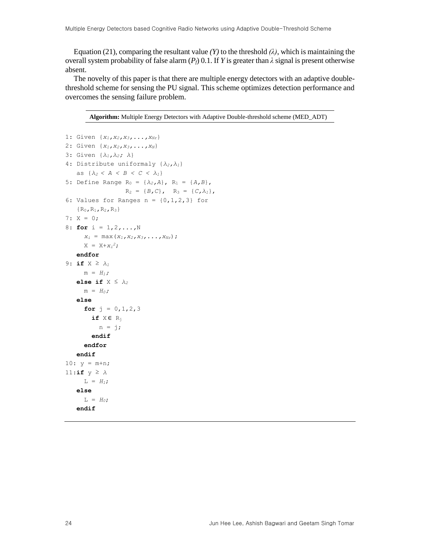Equation (21), comparing the resultant value *(Y)* to the threshold  $(\lambda)$ , which is maintaining the overall system probability of false alarm  $(P_f)$  0.1. If *Y* is greater than  $\lambda$  signal is present otherwise absent.

The novelty of this paper is that there are multiple energy detectors with an adaptive doublethreshold scheme for sensing the PU signal. This scheme optimizes detection performance and overcomes the sensing failure problem.

**Algorithm:** Multiple Energy Detectors with Adaptive Double-threshold scheme (MED\_ADT)

```
1: Given {x1,x2,x3,...,xNr}
2: Given {x1,x2,x3,...,xN}
3: Given {λ1,λ2; λ}
4: Distribute uniformaly {λ2,λ1}
   as \{\lambda_2 < A < B < C < \lambda_1\}5: Define Range R<sub>0</sub> = {\lambda_2, A}, R<sub>1</sub> = {A, B},
                   R_2 = {B, C}, R_3 = {C, \lambda_1},6: Values for Ranges n = \{0, 1, 2, 3\} for
   {R_0, R_1, R_2, R_3}7: X = 0;
8: for i = 1,2,...,N
     x_i = max(x_1, x_2, x_3, \ldots, x_{Nr});
X = X + x_i^2; endfor
9: if X ≥ λ1
     m = H_1;
    else if X ≤ λ2
     m = H_0;
    else
      for j = 0, 1, 2, 3 if X ∈ Rj
           n = j; endif
       endfor
    endif
10: y = m+n;11:if y ≥ λ
     L = H_1;
    else
      L = H_0; endif
```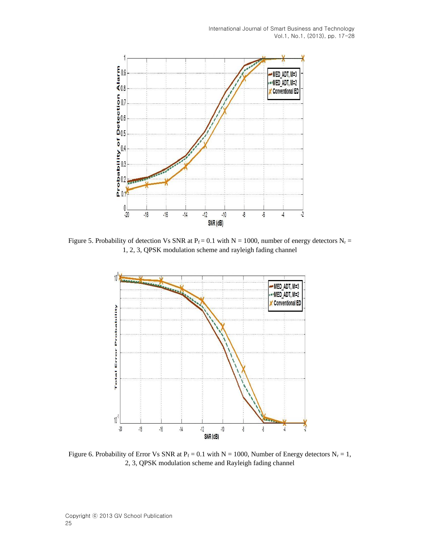

Figure 5. Probability of detection Vs SNR at P<sub>f</sub> = 0.1 with N = 1000, number of energy detectors N<sub>r</sub> = 1, 2, 3, QPSK modulation scheme and rayleigh fading channel



Figure 6. Probability of Error Vs SNR at  $P_f = 0.1$  with N = 1000, Number of Energy detectors N<sub>r</sub> = 1, 2, 3, QPSK modulation scheme and Rayleigh fading channel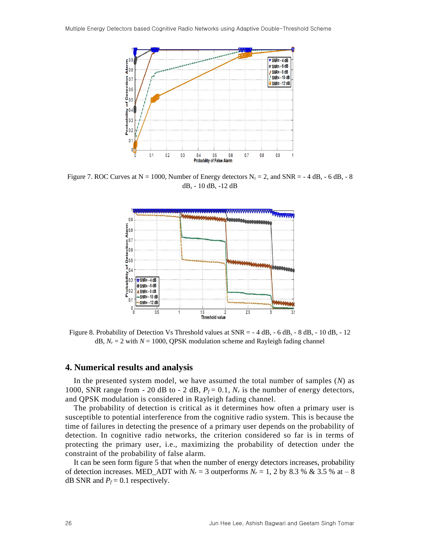

Figure 7. ROC Curves at  $N = 1000$ , Number of Energy detectors  $N_r = 2$ , and  $SNR = -4$  dB, -6 dB, -8 dB, - 10 dB, -12 dB



Figure 8. Probability of Detection Vs Threshold values at SNR = - 4 dB, - 6 dB, - 8 dB, - 10 dB, - 12 dB,  $N_r = 2$  with  $N = 1000$ , QPSK modulation scheme and Rayleigh fading channel

#### **4. Numerical results and analysis**

In the presented system model, we have assumed the total number of samples (*N*) as 1000, SNR range from  $-$  20 dB to  $-$  2 dB,  $P_f = 0.1$ ,  $N_f$  is the number of energy detectors, and QPSK modulation is considered in Rayleigh fading channel.

The probability of detection is critical as it determines how often a primary user is susceptible to potential interference from the cognitive radio system. This is because the time of failures in detecting the presence of a primary user depends on the probability of detection. In cognitive radio networks, the criterion considered so far is in terms of protecting the primary user, i.e., maximizing the probability of detection under the constraint of the probability of false alarm.

It can be seen form figure 5 that when the number of energy detectors increases, probability of detection increases. MED\_ADT with  $N_r = 3$  outperforms  $N_r = 1$ , 2 by 8.3 % & 3.5 % at – 8 dB SNR and  $P_f$  = 0.1 respectively.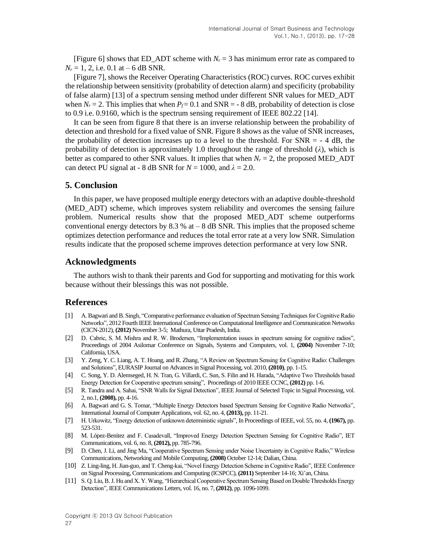[Figure 6] shows that ED\_ADT scheme with  $N_r = 3$  has minimum error rate as compared to  $N_r = 1, 2, i.e. 0.1$  at  $-6$  dB SNR.

[Figure 7], shows the Receiver Operating Characteristics (ROC) curves. ROC curves exhibit the relationship between sensitivity (probability of detection alarm) and specificity (probability of false alarm) [13] of a spectrum sensing method under different SNR values for MED\_ADT when  $N_r = 2$ . This implies that when  $P_f = 0.1$  and SNR = - 8 dB, probability of detection is close to 0.9 i.e. 0.9160, which is the spectrum sensing requirement of IEEE 802.22 [14].

It can be seen from figure 8 that there is an inverse relationship between the probability of detection and threshold for a fixed value of SNR. Figure 8 shows as the value of SNR increases, the probability of detection increases up to a level to the threshold. For  $SNR = -4$  dB, the probability of detection is approximately 1.0 throughout the range of threshold (*λ*), which is better as compared to other SNR values. It implies that when  $N_r = 2$ , the proposed MED ADT can detect PU signal at - 8 dB SNR for  $N = 1000$ , and  $\lambda = 2.0$ .

## **5. Conclusion**

In this paper, we have proposed multiple energy detectors with an adaptive double-threshold (MED\_ADT) scheme, which improves system reliability and overcomes the sensing failure problem. Numerical results show that the proposed MED\_ADT scheme outperforms conventional energy detectors by 8.3 % at  $-$  8 dB SNR. This implies that the proposed scheme optimizes detection performance and reduces the total error rate at a very low SNR. Simulation results indicate that the proposed scheme improves detection performance at very low SNR.

## **Acknowledgments**

The authors wish to thank their parents and God for supporting and motivating for this work because without their blessings this was not possible.

## **References**

- <span id="page-10-0"></span>[1] A.Bagwari and B. Singh, "Comparative performance evaluation of Spectrum Sensing Techniques for Cognitive Radio Networks", 2012 Fourth IEEE International Conference on Computational Intelligence and Communication Networks (CICN-2012), **(2012)** November 3-5; Mathura, Uttar Pradesh, India.
- <span id="page-10-1"></span>[2] D. Cabric, S. M. Mishra and R. W. Brodersen, "Implementation issues in spectrum sensing for cognitive radios", Proceedings of 2004 Asilomar Conference on Signals, Systems and Computers, vol. 1, **(2004)** November 7-10; California, USA.
- <span id="page-10-2"></span>[3] Y. Zeng, Y. C. Liang, A. T. Hoang, and R. Zhang, "A Review on Spectrum Sensing for Cognitive Radio: Challenges and Solutions", EURASIP Journal on Advances in Signal Processing, vol. 2010, **(2010)**, pp. 1-15.
- <span id="page-10-3"></span>[4] C. Song, Y. D. Alemseged, H. N. Tran, G. Villardi, C. Sun, S. Filin and H. Harada, "Adaptive Two Thresholds based Energy Detection for Cooperative spectrum sensing", Proceedings of 2010 IEEE CCNC, **(2012)** pp. 1-6.
- <span id="page-10-4"></span>[5] R. Tandra and A. Sahai, "SNR Walls for Signal Detection", IEEE Journal of Selected Topic in Signal Processing, vol. 2, no.1, **(2008),** pp. 4-16.
- <span id="page-10-5"></span>[6] A. Bagwari and G. S. Tomar, "Multiple Energy Detectors based Spectrum Sensing for Cognitive Radio Networks", International Journal of Computer Applications, vol. 62, no. 4, **(2013),** pp. 11-21.
- <span id="page-10-6"></span>[7] H. Urkowitz, "Energy detection of unknown deterministic signals", In Proceedings of IEEE, vol. 55, no. 4, **(1967),** pp. 523-531.
- <span id="page-10-7"></span>[8] M. López-Benítez and F. Casadevall, "Improved Energy Detection Spectrum Sensing for Cognitive Radio", IET Communications, vol. 6, no. 8, **(2012),** pp. 785-796.
- <span id="page-10-8"></span>[9] D. Chen, J. Li, and Jing Ma, "Cooperative Spectrum Sensing under Noise Uncertainty in Cognitive Radio," Wireless Communications, Networking and Mobile Computing, **(2008)** October 12-14; Dalian, China.
- <span id="page-10-9"></span>[10] Z. Ling-ling, H.Jian-guo, and T. Cheng-kai, "Novel Energy Detection Scheme in Cognitive Radio", IEEE Conference on Signal Processing, Communications and Computing (ICSPCC), **(2011)** September 14-16; Xi'an, China.
- <span id="page-10-10"></span>[11] S. Q. Liu, B. J. Hu and X. Y. Wang, "Hierarchical Cooperative Spectrum Sensing Based on Double Thresholds Energy Detection", IEEE Communications Letters, vol. 16, no. 7, **(2012)**, pp. 1096-1099.